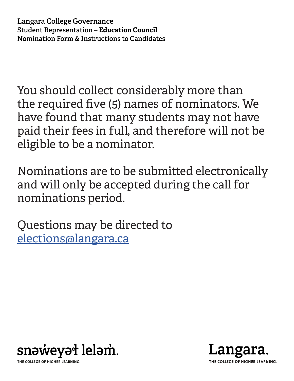You should collect considerably more than the required five (5) names of nominators. We have found that many students may not have paid their fees in full, and therefore will not be eligible to be a nominator.

Nominations are to be submitted electronically and will only be accepted during the call for nominations period.

Questions may be directed to [elections@langara.ca](mailto:elections@langara.ca)



Langara. THE COLLEGE OF HIGHER LEARNING.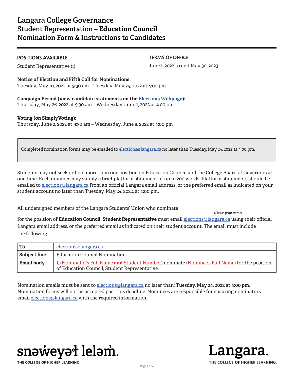### **POSITIONS AVAILABLE**

Student Representative (1)

**TERMS OF OFFICE**

June 1, 2022 to end May 30, 2023

**Notice of Election and Fifth Call for Nominations:** Tuesday, May 10, 2022 at 9:30 am – Tuesday, May 24, 2022 at 4:00 pm

**Campaign Period (view candidate statements on the [Elections Webpage\)](https://langara.ca/departments/registrar-and-enrolment-services/elections.html):** Thursday, May 26, 2022 at 9:30 am – Wednesday, June 1, 2022 at 4:00 pm

# **Voting (on SimplyVoting):**

Thursday, June 2, 2022 at 9:30 am – Wednesday, June 8, 2022 at 4:00 pm

Completed nomination forms may be emailed to elections@langara.ca no later than Tuesday, May 24, 2022 at 4:00 pm.

Students may not seek or hold more than one position on Education Council and the College Board of Governors at one time. Each nominee may supply a brief platform statement of up to 200 words. Platform statements should be emailed to elections@langara.ca from an official Langara email address, or the preferred email as indicated on your student account no later than Tuesday, May 24, 2022, at 4:00 pm.

All undersigned members of the Langara Students' Union who nominate \_

*(Please print name)*

for the position of **Education Council, Student Representative** must email elections@langara.ca using their official Langara email address, or the preferred email as indicated on their student account. The email must include the following:

| ' To                | elections@langara.ca                                                                                                                           |
|---------------------|------------------------------------------------------------------------------------------------------------------------------------------------|
| <b>Subject line</b> | <b>Education Council Nomination</b>                                                                                                            |
| <b>Email body</b>   | I. (Nominator's Full Name and Student Number) nominate (Nominee's Full Name) for the position<br>of Education Council, Student Representative. |

Nomination emails must be sent to elections@langara.ca no later than: **Tuesday, May 24, 2022 at 4:00 pm**. Nomination forms will not be accepted past this deadline. Nominees are responsible for ensuring nominators email elections@langara.ca with the required information.



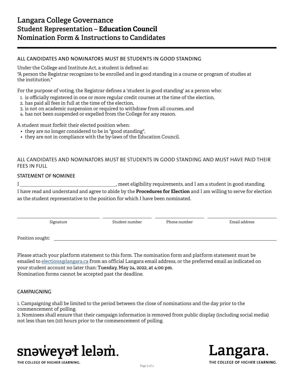# **ALL CANDIDATES AND NOMINATORS MUST BE STUDENTS IN GOOD STANDING**

Under the College and Institute Act, a student is defined as:

"A person the Registrar recognizes to be enrolled and in good standing in a course or program of studies at the institution."

For the purpose of voting, the Registrar defines a 'student in good standing' as a person who:

- 1. is officially registered in one or more regular credit courses at the time of the election,
- 2. has paid all fees in full at the time of the election,
- 3. is not on academic suspension or required to withdraw from all courses, and
- 4. has not been suspended or expelled from the College for any reason.

A student must forfeit their elected position when:

- they are no longer considered to be in "good standing",
- they are not in compliance with the by-laws of the Education Council.

# ALL CANDIDATES AND NOMINATORS MUST BE STUDENTS IN GOOD STANDING AND MUST HAVE PAID THEIR FEES IN FULL

#### **STATEMENT OF NOMINEE**

I \_\_\_\_\_\_\_\_\_\_\_\_\_\_\_\_\_\_\_\_\_\_\_\_\_\_\_\_\_\_\_\_\_\_\_\_\_\_\_\_, meet eligibility requirements, and I am a student in good standing. I have read and understand and agree to abide by the **Procedures for Election** and I am willing to serve for election as the student representative to the position for which I have been nominated.

| Signature        | Student number | Phone number | Email address |
|------------------|----------------|--------------|---------------|
| Position sought: |                |              |               |

Please attach your platform statement to this form. The nomination form and platform statement must be emailed to elections@langara.ca from an official Langara email address, or the preferred email as indicated on your student account no later than: **Tuesday, May 24, 2022, at 4:00 pm**. Nomination forms cannot be accepted past the deadline.

### **CAMPAIGNING**

1. Campaigning shall be limited to the period between the close of nominations and the day prior to the commencement of polling.

2. Nominees shall ensure that their campaign information is removed from public display (including social media) not less than ten (10) hours prior to the commencement of polling.